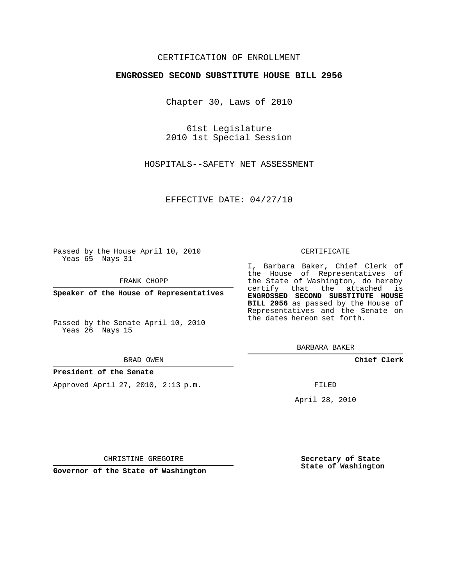# CERTIFICATION OF ENROLLMENT

## **ENGROSSED SECOND SUBSTITUTE HOUSE BILL 2956**

Chapter 30, Laws of 2010

61st Legislature 2010 1st Special Session

HOSPITALS--SAFETY NET ASSESSMENT

EFFECTIVE DATE: 04/27/10

Passed by the House April 10, 2010 Yeas 65 Nays 31

FRANK CHOPP

**Speaker of the House of Representatives**

Passed by the Senate April 10, 2010 Yeas 26 Nays 15

#### BRAD OWEN

### **President of the Senate**

Approved April 27, 2010, 2:13 p.m.

#### CERTIFICATE

I, Barbara Baker, Chief Clerk of the House of Representatives of the State of Washington, do hereby certify that the attached is **ENGROSSED SECOND SUBSTITUTE HOUSE BILL 2956** as passed by the House of Representatives and the Senate on the dates hereon set forth.

BARBARA BAKER

**Chief Clerk**

FILED

April 28, 2010

**Secretary of State State of Washington**

CHRISTINE GREGOIRE

**Governor of the State of Washington**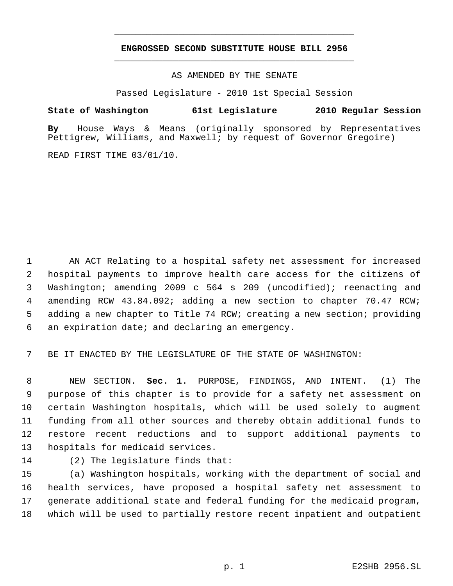# **ENGROSSED SECOND SUBSTITUTE HOUSE BILL 2956** \_\_\_\_\_\_\_\_\_\_\_\_\_\_\_\_\_\_\_\_\_\_\_\_\_\_\_\_\_\_\_\_\_\_\_\_\_\_\_\_\_\_\_\_\_

\_\_\_\_\_\_\_\_\_\_\_\_\_\_\_\_\_\_\_\_\_\_\_\_\_\_\_\_\_\_\_\_\_\_\_\_\_\_\_\_\_\_\_\_\_

## AS AMENDED BY THE SENATE

Passed Legislature - 2010 1st Special Session

## **State of Washington 61st Legislature 2010 Regular Session**

**By** House Ways & Means (originally sponsored by Representatives Pettigrew, Williams, and Maxwell; by request of Governor Gregoire)

READ FIRST TIME 03/01/10.

 AN ACT Relating to a hospital safety net assessment for increased hospital payments to improve health care access for the citizens of Washington; amending 2009 c 564 s 209 (uncodified); reenacting and amending RCW 43.84.092; adding a new section to chapter 70.47 RCW; adding a new chapter to Title 74 RCW; creating a new section; providing an expiration date; and declaring an emergency.

BE IT ENACTED BY THE LEGISLATURE OF THE STATE OF WASHINGTON:

 NEW SECTION. **Sec. 1.** PURPOSE, FINDINGS, AND INTENT. (1) The purpose of this chapter is to provide for a safety net assessment on certain Washington hospitals, which will be used solely to augment funding from all other sources and thereby obtain additional funds to restore recent reductions and to support additional payments to hospitals for medicaid services.

(2) The legislature finds that:

 (a) Washington hospitals, working with the department of social and health services, have proposed a hospital safety net assessment to generate additional state and federal funding for the medicaid program, which will be used to partially restore recent inpatient and outpatient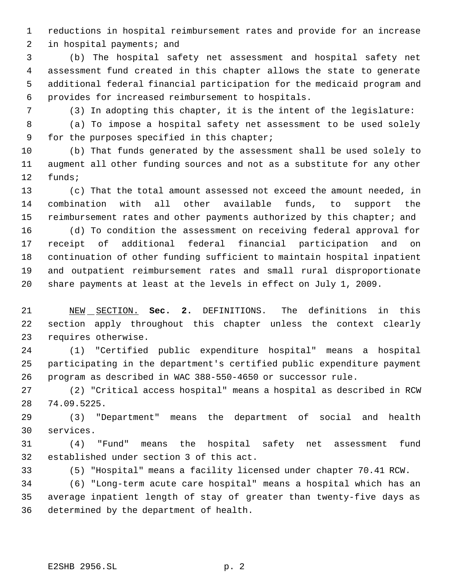reductions in hospital reimbursement rates and provide for an increase

in hospital payments; and

 (b) The hospital safety net assessment and hospital safety net assessment fund created in this chapter allows the state to generate additional federal financial participation for the medicaid program and provides for increased reimbursement to hospitals.

(3) In adopting this chapter, it is the intent of the legislature:

 (a) To impose a hospital safety net assessment to be used solely for the purposes specified in this chapter;

 (b) That funds generated by the assessment shall be used solely to augment all other funding sources and not as a substitute for any other funds;

 (c) That the total amount assessed not exceed the amount needed, in combination with all other available funds, to support the 15 reimbursement rates and other payments authorized by this chapter; and

 (d) To condition the assessment on receiving federal approval for receipt of additional federal financial participation and on continuation of other funding sufficient to maintain hospital inpatient and outpatient reimbursement rates and small rural disproportionate share payments at least at the levels in effect on July 1, 2009.

 NEW SECTION. **Sec. 2.** DEFINITIONS. The definitions in this section apply throughout this chapter unless the context clearly requires otherwise.

 (1) "Certified public expenditure hospital" means a hospital participating in the department's certified public expenditure payment program as described in WAC 388-550-4650 or successor rule.

 (2) "Critical access hospital" means a hospital as described in RCW 74.09.5225.

 (3) "Department" means the department of social and health services.

 (4) "Fund" means the hospital safety net assessment fund established under section 3 of this act.

(5) "Hospital" means a facility licensed under chapter 70.41 RCW.

 (6) "Long-term acute care hospital" means a hospital which has an average inpatient length of stay of greater than twenty-five days as determined by the department of health.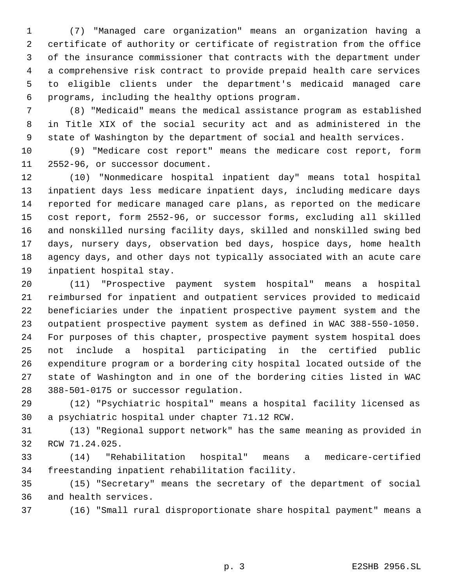(7) "Managed care organization" means an organization having a certificate of authority or certificate of registration from the office of the insurance commissioner that contracts with the department under a comprehensive risk contract to provide prepaid health care services to eligible clients under the department's medicaid managed care programs, including the healthy options program.

 (8) "Medicaid" means the medical assistance program as established in Title XIX of the social security act and as administered in the state of Washington by the department of social and health services.

 (9) "Medicare cost report" means the medicare cost report, form 2552-96, or successor document.

 (10) "Nonmedicare hospital inpatient day" means total hospital inpatient days less medicare inpatient days, including medicare days reported for medicare managed care plans, as reported on the medicare cost report, form 2552-96, or successor forms, excluding all skilled and nonskilled nursing facility days, skilled and nonskilled swing bed days, nursery days, observation bed days, hospice days, home health agency days, and other days not typically associated with an acute care inpatient hospital stay.

 (11) "Prospective payment system hospital" means a hospital reimbursed for inpatient and outpatient services provided to medicaid beneficiaries under the inpatient prospective payment system and the outpatient prospective payment system as defined in WAC 388-550-1050. For purposes of this chapter, prospective payment system hospital does not include a hospital participating in the certified public expenditure program or a bordering city hospital located outside of the state of Washington and in one of the bordering cities listed in WAC 388-501-0175 or successor regulation.

 (12) "Psychiatric hospital" means a hospital facility licensed as a psychiatric hospital under chapter 71.12 RCW.

 (13) "Regional support network" has the same meaning as provided in RCW 71.24.025.

 (14) "Rehabilitation hospital" means a medicare-certified freestanding inpatient rehabilitation facility.

 (15) "Secretary" means the secretary of the department of social and health services.

(16) "Small rural disproportionate share hospital payment" means a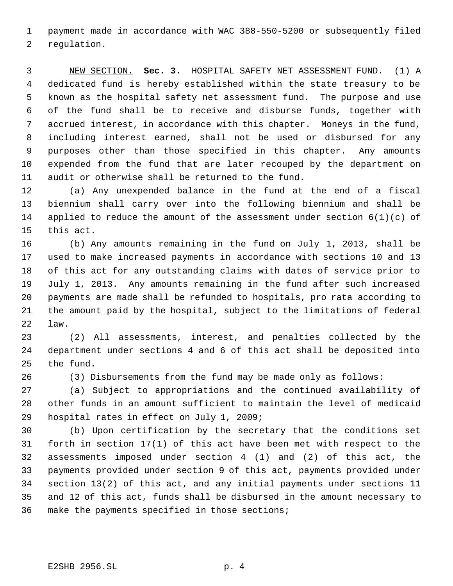payment made in accordance with WAC 388-550-5200 or subsequently filed regulation.

 NEW SECTION. **Sec. 3.** HOSPITAL SAFETY NET ASSESSMENT FUND. (1) A dedicated fund is hereby established within the state treasury to be known as the hospital safety net assessment fund. The purpose and use of the fund shall be to receive and disburse funds, together with accrued interest, in accordance with this chapter. Moneys in the fund, including interest earned, shall not be used or disbursed for any purposes other than those specified in this chapter. Any amounts expended from the fund that are later recouped by the department on audit or otherwise shall be returned to the fund.

 (a) Any unexpended balance in the fund at the end of a fiscal biennium shall carry over into the following biennium and shall be applied to reduce the amount of the assessment under section 6(1)(c) of this act.

 (b) Any amounts remaining in the fund on July 1, 2013, shall be used to make increased payments in accordance with sections 10 and 13 of this act for any outstanding claims with dates of service prior to July 1, 2013. Any amounts remaining in the fund after such increased payments are made shall be refunded to hospitals, pro rata according to the amount paid by the hospital, subject to the limitations of federal law.

 (2) All assessments, interest, and penalties collected by the department under sections 4 and 6 of this act shall be deposited into the fund.

(3) Disbursements from the fund may be made only as follows:

 (a) Subject to appropriations and the continued availability of other funds in an amount sufficient to maintain the level of medicaid hospital rates in effect on July 1, 2009;

 (b) Upon certification by the secretary that the conditions set forth in section 17(1) of this act have been met with respect to the assessments imposed under section 4 (1) and (2) of this act, the payments provided under section 9 of this act, payments provided under section 13(2) of this act, and any initial payments under sections 11 and 12 of this act, funds shall be disbursed in the amount necessary to make the payments specified in those sections;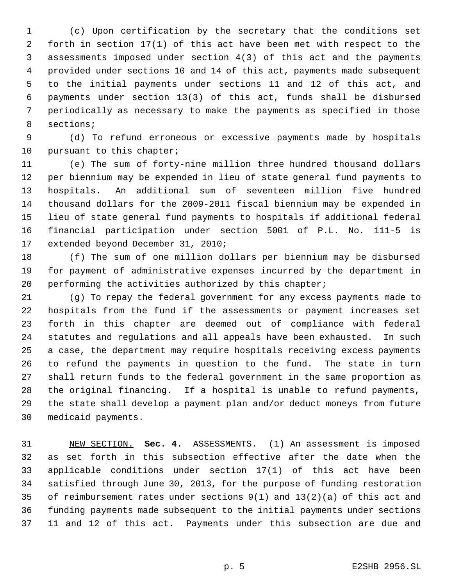(c) Upon certification by the secretary that the conditions set forth in section 17(1) of this act have been met with respect to the assessments imposed under section 4(3) of this act and the payments provided under sections 10 and 14 of this act, payments made subsequent to the initial payments under sections 11 and 12 of this act, and payments under section 13(3) of this act, funds shall be disbursed periodically as necessary to make the payments as specified in those sections;

 (d) To refund erroneous or excessive payments made by hospitals 10 pursuant to this chapter;

 (e) The sum of forty-nine million three hundred thousand dollars per biennium may be expended in lieu of state general fund payments to hospitals. An additional sum of seventeen million five hundred thousand dollars for the 2009-2011 fiscal biennium may be expended in lieu of state general fund payments to hospitals if additional federal financial participation under section 5001 of P.L. No. 111-5 is extended beyond December 31, 2010;

 (f) The sum of one million dollars per biennium may be disbursed for payment of administrative expenses incurred by the department in 20 performing the activities authorized by this chapter;

 (g) To repay the federal government for any excess payments made to hospitals from the fund if the assessments or payment increases set forth in this chapter are deemed out of compliance with federal statutes and regulations and all appeals have been exhausted. In such a case, the department may require hospitals receiving excess payments to refund the payments in question to the fund. The state in turn shall return funds to the federal government in the same proportion as the original financing. If a hospital is unable to refund payments, the state shall develop a payment plan and/or deduct moneys from future medicaid payments.

 NEW SECTION. **Sec. 4.** ASSESSMENTS. (1) An assessment is imposed as set forth in this subsection effective after the date when the applicable conditions under section 17(1) of this act have been satisfied through June 30, 2013, for the purpose of funding restoration of reimbursement rates under sections 9(1) and 13(2)(a) of this act and funding payments made subsequent to the initial payments under sections 11 and 12 of this act. Payments under this subsection are due and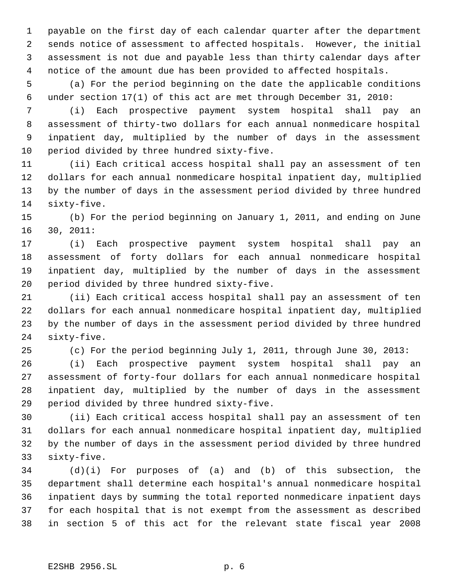payable on the first day of each calendar quarter after the department sends notice of assessment to affected hospitals. However, the initial assessment is not due and payable less than thirty calendar days after notice of the amount due has been provided to affected hospitals.

 (a) For the period beginning on the date the applicable conditions under section 17(1) of this act are met through December 31, 2010:

 (i) Each prospective payment system hospital shall pay an assessment of thirty-two dollars for each annual nonmedicare hospital inpatient day, multiplied by the number of days in the assessment period divided by three hundred sixty-five.

 (ii) Each critical access hospital shall pay an assessment of ten dollars for each annual nonmedicare hospital inpatient day, multiplied by the number of days in the assessment period divided by three hundred sixty-five.

 (b) For the period beginning on January 1, 2011, and ending on June 30, 2011:

 (i) Each prospective payment system hospital shall pay an assessment of forty dollars for each annual nonmedicare hospital inpatient day, multiplied by the number of days in the assessment period divided by three hundred sixty-five.

 (ii) Each critical access hospital shall pay an assessment of ten dollars for each annual nonmedicare hospital inpatient day, multiplied by the number of days in the assessment period divided by three hundred sixty-five.

(c) For the period beginning July 1, 2011, through June 30, 2013:

 (i) Each prospective payment system hospital shall pay an assessment of forty-four dollars for each annual nonmedicare hospital inpatient day, multiplied by the number of days in the assessment period divided by three hundred sixty-five.

 (ii) Each critical access hospital shall pay an assessment of ten dollars for each annual nonmedicare hospital inpatient day, multiplied by the number of days in the assessment period divided by three hundred sixty-five.

 (d)(i) For purposes of (a) and (b) of this subsection, the department shall determine each hospital's annual nonmedicare hospital inpatient days by summing the total reported nonmedicare inpatient days for each hospital that is not exempt from the assessment as described in section 5 of this act for the relevant state fiscal year 2008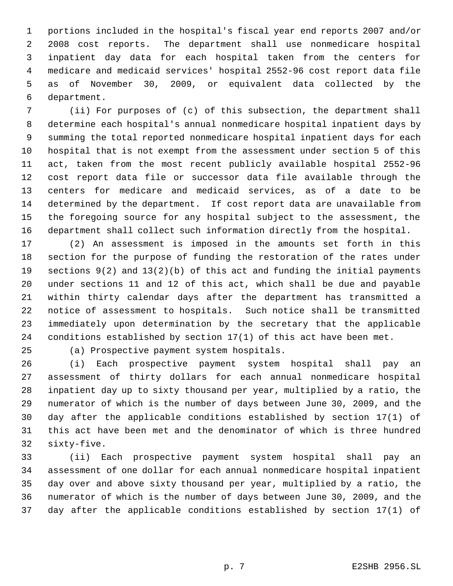portions included in the hospital's fiscal year end reports 2007 and/or 2008 cost reports. The department shall use nonmedicare hospital inpatient day data for each hospital taken from the centers for medicare and medicaid services' hospital 2552-96 cost report data file as of November 30, 2009, or equivalent data collected by the department.

 (ii) For purposes of (c) of this subsection, the department shall determine each hospital's annual nonmedicare hospital inpatient days by summing the total reported nonmedicare hospital inpatient days for each hospital that is not exempt from the assessment under section 5 of this act, taken from the most recent publicly available hospital 2552-96 cost report data file or successor data file available through the centers for medicare and medicaid services, as of a date to be determined by the department. If cost report data are unavailable from the foregoing source for any hospital subject to the assessment, the department shall collect such information directly from the hospital.

 (2) An assessment is imposed in the amounts set forth in this section for the purpose of funding the restoration of the rates under sections 9(2) and 13(2)(b) of this act and funding the initial payments under sections 11 and 12 of this act, which shall be due and payable within thirty calendar days after the department has transmitted a notice of assessment to hospitals. Such notice shall be transmitted immediately upon determination by the secretary that the applicable conditions established by section 17(1) of this act have been met.

(a) Prospective payment system hospitals.

 (i) Each prospective payment system hospital shall pay an assessment of thirty dollars for each annual nonmedicare hospital inpatient day up to sixty thousand per year, multiplied by a ratio, the numerator of which is the number of days between June 30, 2009, and the day after the applicable conditions established by section 17(1) of this act have been met and the denominator of which is three hundred sixty-five.

 (ii) Each prospective payment system hospital shall pay an assessment of one dollar for each annual nonmedicare hospital inpatient day over and above sixty thousand per year, multiplied by a ratio, the numerator of which is the number of days between June 30, 2009, and the day after the applicable conditions established by section 17(1) of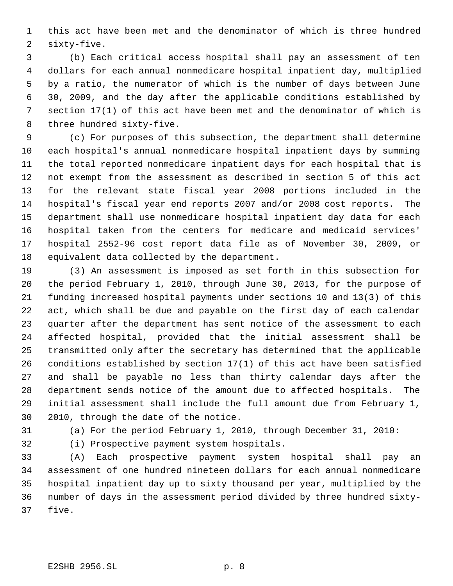this act have been met and the denominator of which is three hundred sixty-five.

 (b) Each critical access hospital shall pay an assessment of ten dollars for each annual nonmedicare hospital inpatient day, multiplied by a ratio, the numerator of which is the number of days between June 30, 2009, and the day after the applicable conditions established by section 17(1) of this act have been met and the denominator of which is three hundred sixty-five.

 (c) For purposes of this subsection, the department shall determine each hospital's annual nonmedicare hospital inpatient days by summing the total reported nonmedicare inpatient days for each hospital that is not exempt from the assessment as described in section 5 of this act for the relevant state fiscal year 2008 portions included in the hospital's fiscal year end reports 2007 and/or 2008 cost reports. The department shall use nonmedicare hospital inpatient day data for each hospital taken from the centers for medicare and medicaid services' hospital 2552-96 cost report data file as of November 30, 2009, or equivalent data collected by the department.

 (3) An assessment is imposed as set forth in this subsection for the period February 1, 2010, through June 30, 2013, for the purpose of funding increased hospital payments under sections 10 and 13(3) of this act, which shall be due and payable on the first day of each calendar quarter after the department has sent notice of the assessment to each affected hospital, provided that the initial assessment shall be transmitted only after the secretary has determined that the applicable conditions established by section 17(1) of this act have been satisfied and shall be payable no less than thirty calendar days after the department sends notice of the amount due to affected hospitals. The initial assessment shall include the full amount due from February 1, 2010, through the date of the notice.

(a) For the period February 1, 2010, through December 31, 2010:

(i) Prospective payment system hospitals.

 (A) Each prospective payment system hospital shall pay an assessment of one hundred nineteen dollars for each annual nonmedicare hospital inpatient day up to sixty thousand per year, multiplied by the number of days in the assessment period divided by three hundred sixty-five.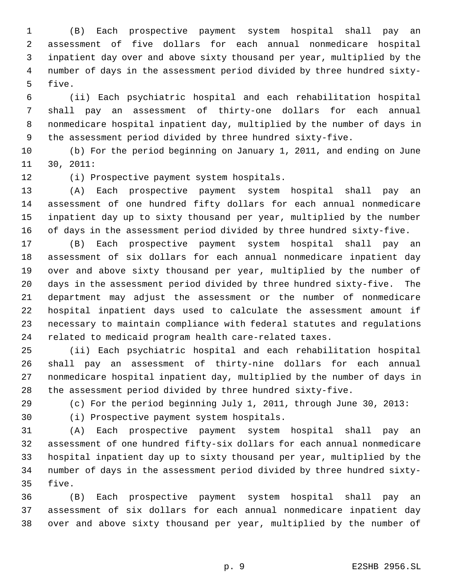(B) Each prospective payment system hospital shall pay an assessment of five dollars for each annual nonmedicare hospital inpatient day over and above sixty thousand per year, multiplied by the number of days in the assessment period divided by three hundred sixty- five.

 (ii) Each psychiatric hospital and each rehabilitation hospital shall pay an assessment of thirty-one dollars for each annual nonmedicare hospital inpatient day, multiplied by the number of days in the assessment period divided by three hundred sixty-five.

 (b) For the period beginning on January 1, 2011, and ending on June 30, 2011:

(i) Prospective payment system hospitals.

 (A) Each prospective payment system hospital shall pay an assessment of one hundred fifty dollars for each annual nonmedicare inpatient day up to sixty thousand per year, multiplied by the number of days in the assessment period divided by three hundred sixty-five.

 (B) Each prospective payment system hospital shall pay an assessment of six dollars for each annual nonmedicare inpatient day over and above sixty thousand per year, multiplied by the number of days in the assessment period divided by three hundred sixty-five. The department may adjust the assessment or the number of nonmedicare hospital inpatient days used to calculate the assessment amount if necessary to maintain compliance with federal statutes and regulations related to medicaid program health care-related taxes.

 (ii) Each psychiatric hospital and each rehabilitation hospital shall pay an assessment of thirty-nine dollars for each annual nonmedicare hospital inpatient day, multiplied by the number of days in the assessment period divided by three hundred sixty-five.

(c) For the period beginning July 1, 2011, through June 30, 2013:

(i) Prospective payment system hospitals.

 (A) Each prospective payment system hospital shall pay an assessment of one hundred fifty-six dollars for each annual nonmedicare hospital inpatient day up to sixty thousand per year, multiplied by the number of days in the assessment period divided by three hundred sixty-five.

 (B) Each prospective payment system hospital shall pay an assessment of six dollars for each annual nonmedicare inpatient day over and above sixty thousand per year, multiplied by the number of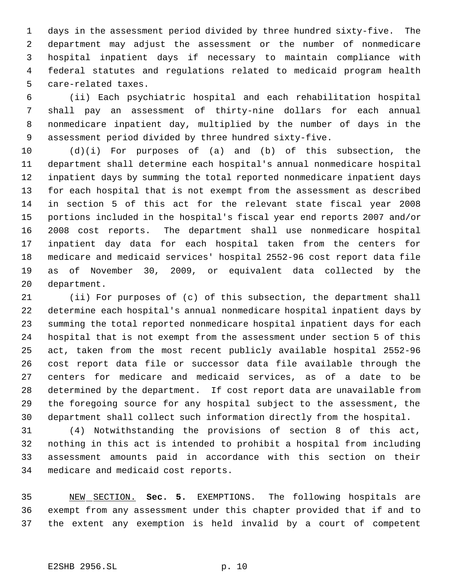days in the assessment period divided by three hundred sixty-five. The department may adjust the assessment or the number of nonmedicare hospital inpatient days if necessary to maintain compliance with federal statutes and regulations related to medicaid program health care-related taxes.

 (ii) Each psychiatric hospital and each rehabilitation hospital shall pay an assessment of thirty-nine dollars for each annual nonmedicare inpatient day, multiplied by the number of days in the assessment period divided by three hundred sixty-five.

 (d)(i) For purposes of (a) and (b) of this subsection, the department shall determine each hospital's annual nonmedicare hospital inpatient days by summing the total reported nonmedicare inpatient days for each hospital that is not exempt from the assessment as described in section 5 of this act for the relevant state fiscal year 2008 portions included in the hospital's fiscal year end reports 2007 and/or 2008 cost reports. The department shall use nonmedicare hospital inpatient day data for each hospital taken from the centers for medicare and medicaid services' hospital 2552-96 cost report data file as of November 30, 2009, or equivalent data collected by the department.

 (ii) For purposes of (c) of this subsection, the department shall determine each hospital's annual nonmedicare hospital inpatient days by summing the total reported nonmedicare hospital inpatient days for each hospital that is not exempt from the assessment under section 5 of this act, taken from the most recent publicly available hospital 2552-96 cost report data file or successor data file available through the centers for medicare and medicaid services, as of a date to be determined by the department. If cost report data are unavailable from the foregoing source for any hospital subject to the assessment, the department shall collect such information directly from the hospital.

 (4) Notwithstanding the provisions of section 8 of this act, nothing in this act is intended to prohibit a hospital from including assessment amounts paid in accordance with this section on their medicare and medicaid cost reports.

 NEW SECTION. **Sec. 5.** EXEMPTIONS. The following hospitals are exempt from any assessment under this chapter provided that if and to the extent any exemption is held invalid by a court of competent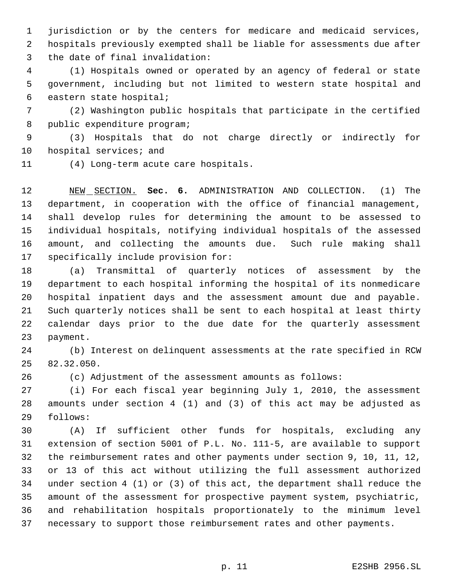jurisdiction or by the centers for medicare and medicaid services, hospitals previously exempted shall be liable for assessments due after the date of final invalidation:

 (1) Hospitals owned or operated by an agency of federal or state government, including but not limited to western state hospital and eastern state hospital;

 (2) Washington public hospitals that participate in the certified public expenditure program;

 (3) Hospitals that do not charge directly or indirectly for hospital services; and

(4) Long-term acute care hospitals.

 NEW SECTION. **Sec. 6.** ADMINISTRATION AND COLLECTION. (1) The department, in cooperation with the office of financial management, shall develop rules for determining the amount to be assessed to individual hospitals, notifying individual hospitals of the assessed amount, and collecting the amounts due. Such rule making shall specifically include provision for:

 (a) Transmittal of quarterly notices of assessment by the department to each hospital informing the hospital of its nonmedicare hospital inpatient days and the assessment amount due and payable. Such quarterly notices shall be sent to each hospital at least thirty calendar days prior to the due date for the quarterly assessment payment.

 (b) Interest on delinquent assessments at the rate specified in RCW 82.32.050.

(c) Adjustment of the assessment amounts as follows:

 (i) For each fiscal year beginning July 1, 2010, the assessment amounts under section 4 (1) and (3) of this act may be adjusted as follows:

 (A) If sufficient other funds for hospitals, excluding any extension of section 5001 of P.L. No. 111-5, are available to support the reimbursement rates and other payments under section 9, 10, 11, 12, or 13 of this act without utilizing the full assessment authorized under section 4 (1) or (3) of this act, the department shall reduce the amount of the assessment for prospective payment system, psychiatric, and rehabilitation hospitals proportionately to the minimum level necessary to support those reimbursement rates and other payments.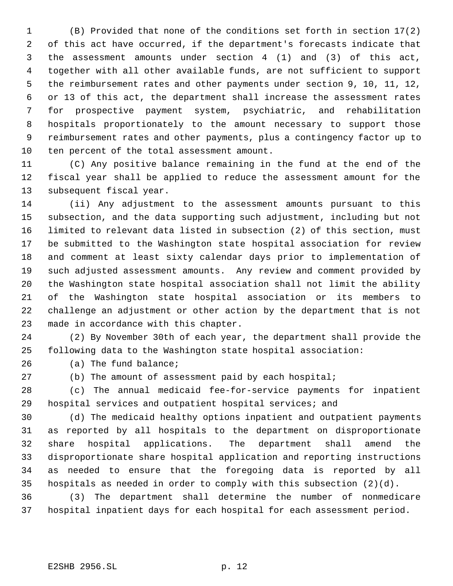(B) Provided that none of the conditions set forth in section 17(2) of this act have occurred, if the department's forecasts indicate that the assessment amounts under section 4 (1) and (3) of this act, together with all other available funds, are not sufficient to support the reimbursement rates and other payments under section 9, 10, 11, 12, or 13 of this act, the department shall increase the assessment rates for prospective payment system, psychiatric, and rehabilitation hospitals proportionately to the amount necessary to support those reimbursement rates and other payments, plus a contingency factor up to ten percent of the total assessment amount.

 (C) Any positive balance remaining in the fund at the end of the fiscal year shall be applied to reduce the assessment amount for the subsequent fiscal year.

 (ii) Any adjustment to the assessment amounts pursuant to this subsection, and the data supporting such adjustment, including but not limited to relevant data listed in subsection (2) of this section, must be submitted to the Washington state hospital association for review and comment at least sixty calendar days prior to implementation of such adjusted assessment amounts. Any review and comment provided by the Washington state hospital association shall not limit the ability of the Washington state hospital association or its members to challenge an adjustment or other action by the department that is not made in accordance with this chapter.

 (2) By November 30th of each year, the department shall provide the following data to the Washington state hospital association:

(a) The fund balance;

(b) The amount of assessment paid by each hospital;

 (c) The annual medicaid fee-for-service payments for inpatient hospital services and outpatient hospital services; and

 (d) The medicaid healthy options inpatient and outpatient payments as reported by all hospitals to the department on disproportionate share hospital applications. The department shall amend the disproportionate share hospital application and reporting instructions as needed to ensure that the foregoing data is reported by all hospitals as needed in order to comply with this subsection (2)(d).

 (3) The department shall determine the number of nonmedicare hospital inpatient days for each hospital for each assessment period.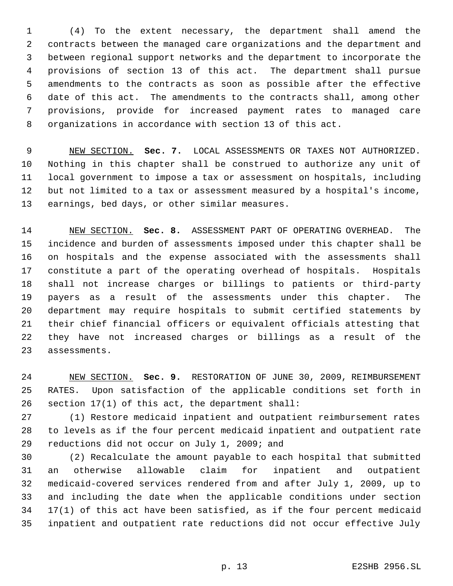(4) To the extent necessary, the department shall amend the contracts between the managed care organizations and the department and between regional support networks and the department to incorporate the provisions of section 13 of this act. The department shall pursue amendments to the contracts as soon as possible after the effective date of this act. The amendments to the contracts shall, among other provisions, provide for increased payment rates to managed care organizations in accordance with section 13 of this act.

 NEW SECTION. **Sec. 7.** LOCAL ASSESSMENTS OR TAXES NOT AUTHORIZED. Nothing in this chapter shall be construed to authorize any unit of local government to impose a tax or assessment on hospitals, including but not limited to a tax or assessment measured by a hospital's income, earnings, bed days, or other similar measures.

 NEW SECTION. **Sec. 8.** ASSESSMENT PART OF OPERATING OVERHEAD. The incidence and burden of assessments imposed under this chapter shall be on hospitals and the expense associated with the assessments shall constitute a part of the operating overhead of hospitals. Hospitals shall not increase charges or billings to patients or third-party payers as a result of the assessments under this chapter. The department may require hospitals to submit certified statements by their chief financial officers or equivalent officials attesting that they have not increased charges or billings as a result of the assessments.

 NEW SECTION. **Sec. 9.** RESTORATION OF JUNE 30, 2009, REIMBURSEMENT RATES. Upon satisfaction of the applicable conditions set forth in section 17(1) of this act, the department shall:

 (1) Restore medicaid inpatient and outpatient reimbursement rates to levels as if the four percent medicaid inpatient and outpatient rate reductions did not occur on July 1, 2009; and

 (2) Recalculate the amount payable to each hospital that submitted an otherwise allowable claim for inpatient and outpatient medicaid-covered services rendered from and after July 1, 2009, up to and including the date when the applicable conditions under section 17(1) of this act have been satisfied, as if the four percent medicaid inpatient and outpatient rate reductions did not occur effective July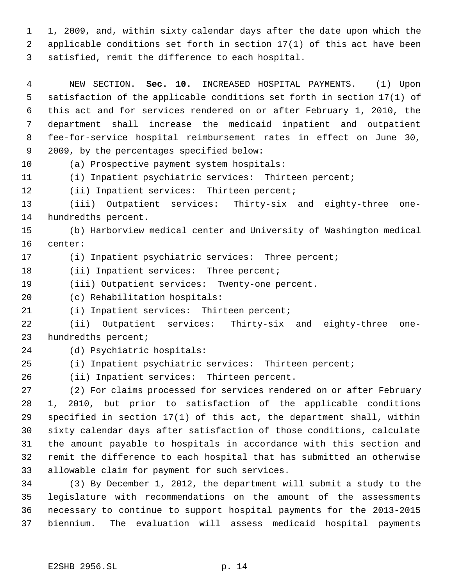1, 2009, and, within sixty calendar days after the date upon which the applicable conditions set forth in section 17(1) of this act have been satisfied, remit the difference to each hospital.

 NEW SECTION. **Sec. 10.** INCREASED HOSPITAL PAYMENTS. (1) Upon satisfaction of the applicable conditions set forth in section 17(1) of this act and for services rendered on or after February 1, 2010, the department shall increase the medicaid inpatient and outpatient fee-for-service hospital reimbursement rates in effect on June 30, 2009, by the percentages specified below:

(a) Prospective payment system hospitals:

(i) Inpatient psychiatric services: Thirteen percent;

12 (ii) Inpatient services: Thirteen percent;

 (iii) Outpatient services: Thirty-six and eighty-three one-hundredths percent.

 (b) Harborview medical center and University of Washington medical center:

(i) Inpatient psychiatric services: Three percent;

18 (ii) Inpatient services: Three percent;

(iii) Outpatient services: Twenty-one percent.

(c) Rehabilitation hospitals:

(i) Inpatient services: Thirteen percent;

 (ii) Outpatient services: Thirty-six and eighty-three one-hundredths percent;

(d) Psychiatric hospitals:

(i) Inpatient psychiatric services: Thirteen percent;

(ii) Inpatient services: Thirteen percent.

 (2) For claims processed for services rendered on or after February 1, 2010, but prior to satisfaction of the applicable conditions specified in section 17(1) of this act, the department shall, within sixty calendar days after satisfaction of those conditions, calculate the amount payable to hospitals in accordance with this section and remit the difference to each hospital that has submitted an otherwise allowable claim for payment for such services.

 (3) By December 1, 2012, the department will submit a study to the legislature with recommendations on the amount of the assessments necessary to continue to support hospital payments for the 2013-2015 biennium. The evaluation will assess medicaid hospital payments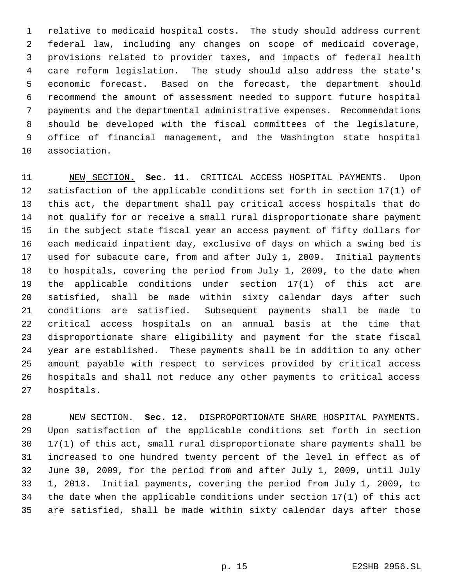relative to medicaid hospital costs. The study should address current federal law, including any changes on scope of medicaid coverage, provisions related to provider taxes, and impacts of federal health care reform legislation. The study should also address the state's economic forecast. Based on the forecast, the department should recommend the amount of assessment needed to support future hospital payments and the departmental administrative expenses. Recommendations should be developed with the fiscal committees of the legislature, office of financial management, and the Washington state hospital association.

 NEW SECTION. **Sec. 11.** CRITICAL ACCESS HOSPITAL PAYMENTS. Upon satisfaction of the applicable conditions set forth in section 17(1) of this act, the department shall pay critical access hospitals that do not qualify for or receive a small rural disproportionate share payment in the subject state fiscal year an access payment of fifty dollars for each medicaid inpatient day, exclusive of days on which a swing bed is used for subacute care, from and after July 1, 2009. Initial payments to hospitals, covering the period from July 1, 2009, to the date when the applicable conditions under section 17(1) of this act are satisfied, shall be made within sixty calendar days after such conditions are satisfied. Subsequent payments shall be made to critical access hospitals on an annual basis at the time that disproportionate share eligibility and payment for the state fiscal year are established. These payments shall be in addition to any other amount payable with respect to services provided by critical access hospitals and shall not reduce any other payments to critical access hospitals.

 NEW SECTION. **Sec. 12.** DISPROPORTIONATE SHARE HOSPITAL PAYMENTS. Upon satisfaction of the applicable conditions set forth in section 17(1) of this act, small rural disproportionate share payments shall be increased to one hundred twenty percent of the level in effect as of June 30, 2009, for the period from and after July 1, 2009, until July 1, 2013. Initial payments, covering the period from July 1, 2009, to the date when the applicable conditions under section 17(1) of this act are satisfied, shall be made within sixty calendar days after those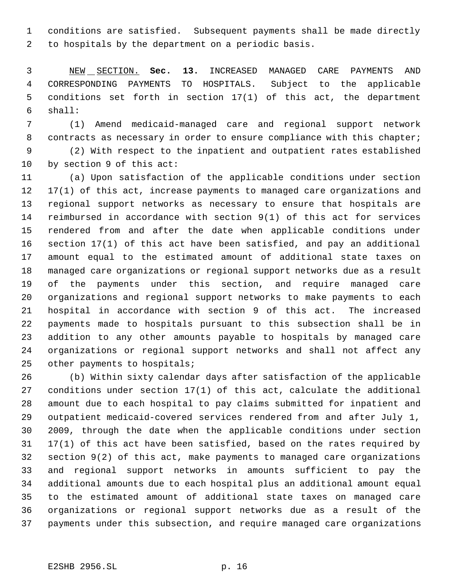conditions are satisfied. Subsequent payments shall be made directly to hospitals by the department on a periodic basis.

 NEW SECTION. **Sec. 13.** INCREASED MANAGED CARE PAYMENTS AND CORRESPONDING PAYMENTS TO HOSPITALS. Subject to the applicable conditions set forth in section 17(1) of this act, the department shall:

 (1) Amend medicaid-managed care and regional support network 8 contracts as necessary in order to ensure compliance with this chapter;

 (2) With respect to the inpatient and outpatient rates established by section 9 of this act:

 (a) Upon satisfaction of the applicable conditions under section 17(1) of this act, increase payments to managed care organizations and regional support networks as necessary to ensure that hospitals are reimbursed in accordance with section 9(1) of this act for services rendered from and after the date when applicable conditions under section 17(1) of this act have been satisfied, and pay an additional amount equal to the estimated amount of additional state taxes on managed care organizations or regional support networks due as a result of the payments under this section, and require managed care organizations and regional support networks to make payments to each hospital in accordance with section 9 of this act. The increased payments made to hospitals pursuant to this subsection shall be in addition to any other amounts payable to hospitals by managed care organizations or regional support networks and shall not affect any 25 other payments to hospitals;

 (b) Within sixty calendar days after satisfaction of the applicable conditions under section 17(1) of this act, calculate the additional amount due to each hospital to pay claims submitted for inpatient and outpatient medicaid-covered services rendered from and after July 1, 2009, through the date when the applicable conditions under section 17(1) of this act have been satisfied, based on the rates required by section 9(2) of this act, make payments to managed care organizations and regional support networks in amounts sufficient to pay the additional amounts due to each hospital plus an additional amount equal to the estimated amount of additional state taxes on managed care organizations or regional support networks due as a result of the payments under this subsection, and require managed care organizations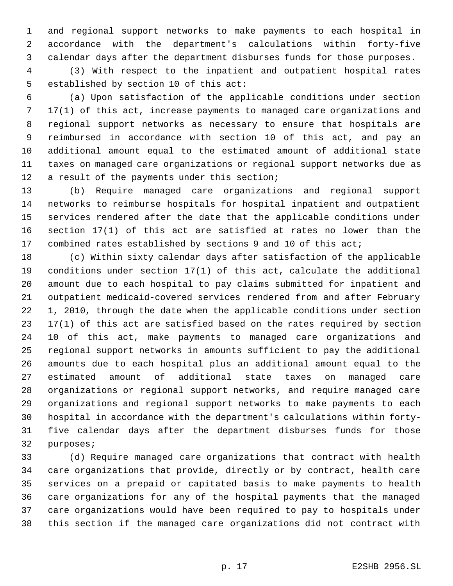and regional support networks to make payments to each hospital in accordance with the department's calculations within forty-five calendar days after the department disburses funds for those purposes.

 (3) With respect to the inpatient and outpatient hospital rates established by section 10 of this act:

 (a) Upon satisfaction of the applicable conditions under section 17(1) of this act, increase payments to managed care organizations and regional support networks as necessary to ensure that hospitals are reimbursed in accordance with section 10 of this act, and pay an additional amount equal to the estimated amount of additional state taxes on managed care organizations or regional support networks due as 12 a result of the payments under this section;

 (b) Require managed care organizations and regional support networks to reimburse hospitals for hospital inpatient and outpatient services rendered after the date that the applicable conditions under section 17(1) of this act are satisfied at rates no lower than the combined rates established by sections 9 and 10 of this act;

 (c) Within sixty calendar days after satisfaction of the applicable conditions under section 17(1) of this act, calculate the additional amount due to each hospital to pay claims submitted for inpatient and outpatient medicaid-covered services rendered from and after February 1, 2010, through the date when the applicable conditions under section 17(1) of this act are satisfied based on the rates required by section 10 of this act, make payments to managed care organizations and regional support networks in amounts sufficient to pay the additional amounts due to each hospital plus an additional amount equal to the estimated amount of additional state taxes on managed care organizations or regional support networks, and require managed care organizations and regional support networks to make payments to each hospital in accordance with the department's calculations within forty- five calendar days after the department disburses funds for those purposes;

 (d) Require managed care organizations that contract with health care organizations that provide, directly or by contract, health care services on a prepaid or capitated basis to make payments to health care organizations for any of the hospital payments that the managed care organizations would have been required to pay to hospitals under this section if the managed care organizations did not contract with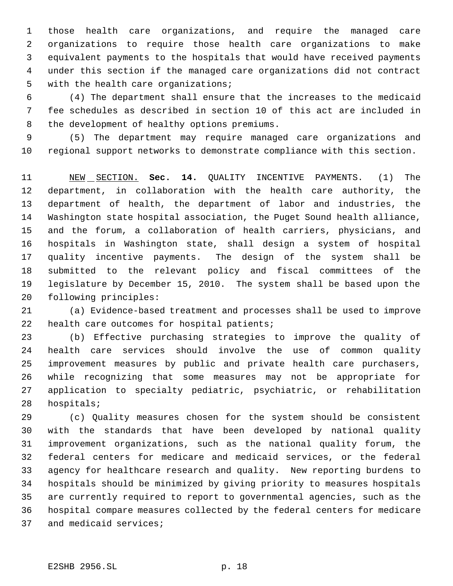those health care organizations, and require the managed care organizations to require those health care organizations to make equivalent payments to the hospitals that would have received payments under this section if the managed care organizations did not contract with the health care organizations;

 (4) The department shall ensure that the increases to the medicaid fee schedules as described in section 10 of this act are included in the development of healthy options premiums.

 (5) The department may require managed care organizations and regional support networks to demonstrate compliance with this section.

 NEW SECTION. **Sec. 14.** QUALITY INCENTIVE PAYMENTS. (1) The department, in collaboration with the health care authority, the department of health, the department of labor and industries, the Washington state hospital association, the Puget Sound health alliance, and the forum, a collaboration of health carriers, physicians, and hospitals in Washington state, shall design a system of hospital quality incentive payments. The design of the system shall be submitted to the relevant policy and fiscal committees of the legislature by December 15, 2010. The system shall be based upon the following principles:

 (a) Evidence-based treatment and processes shall be used to improve health care outcomes for hospital patients;

 (b) Effective purchasing strategies to improve the quality of health care services should involve the use of common quality improvement measures by public and private health care purchasers, while recognizing that some measures may not be appropriate for application to specialty pediatric, psychiatric, or rehabilitation hospitals;

 (c) Quality measures chosen for the system should be consistent with the standards that have been developed by national quality improvement organizations, such as the national quality forum, the federal centers for medicare and medicaid services, or the federal agency for healthcare research and quality. New reporting burdens to hospitals should be minimized by giving priority to measures hospitals are currently required to report to governmental agencies, such as the hospital compare measures collected by the federal centers for medicare and medicaid services;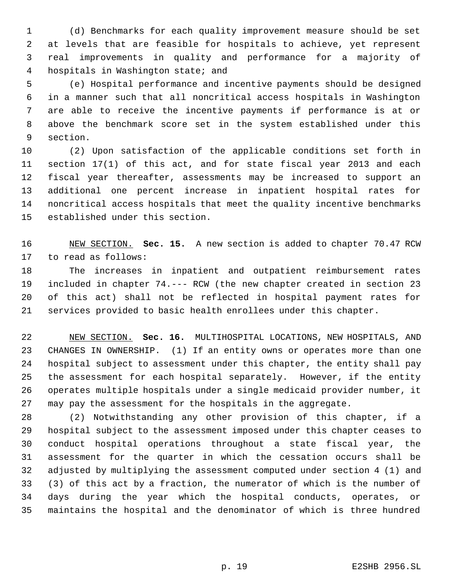(d) Benchmarks for each quality improvement measure should be set at levels that are feasible for hospitals to achieve, yet represent real improvements in quality and performance for a majority of hospitals in Washington state; and

 (e) Hospital performance and incentive payments should be designed in a manner such that all noncritical access hospitals in Washington are able to receive the incentive payments if performance is at or above the benchmark score set in the system established under this section.

 (2) Upon satisfaction of the applicable conditions set forth in section 17(1) of this act, and for state fiscal year 2013 and each fiscal year thereafter, assessments may be increased to support an additional one percent increase in inpatient hospital rates for noncritical access hospitals that meet the quality incentive benchmarks established under this section.

 NEW SECTION. **Sec. 15.** A new section is added to chapter 70.47 RCW to read as follows:

 The increases in inpatient and outpatient reimbursement rates included in chapter 74.--- RCW (the new chapter created in section 23 of this act) shall not be reflected in hospital payment rates for services provided to basic health enrollees under this chapter.

 NEW SECTION. **Sec. 16.** MULTIHOSPITAL LOCATIONS, NEW HOSPITALS, AND CHANGES IN OWNERSHIP. (1) If an entity owns or operates more than one hospital subject to assessment under this chapter, the entity shall pay the assessment for each hospital separately. However, if the entity operates multiple hospitals under a single medicaid provider number, it may pay the assessment for the hospitals in the aggregate.

 (2) Notwithstanding any other provision of this chapter, if a hospital subject to the assessment imposed under this chapter ceases to conduct hospital operations throughout a state fiscal year, the assessment for the quarter in which the cessation occurs shall be adjusted by multiplying the assessment computed under section 4 (1) and (3) of this act by a fraction, the numerator of which is the number of days during the year which the hospital conducts, operates, or maintains the hospital and the denominator of which is three hundred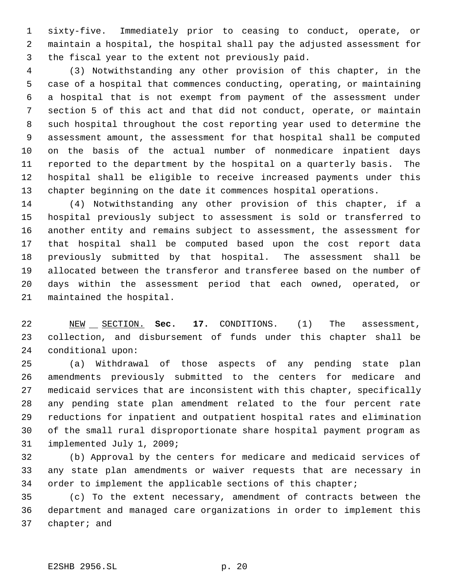sixty-five. Immediately prior to ceasing to conduct, operate, or maintain a hospital, the hospital shall pay the adjusted assessment for the fiscal year to the extent not previously paid.

 (3) Notwithstanding any other provision of this chapter, in the case of a hospital that commences conducting, operating, or maintaining a hospital that is not exempt from payment of the assessment under section 5 of this act and that did not conduct, operate, or maintain such hospital throughout the cost reporting year used to determine the assessment amount, the assessment for that hospital shall be computed on the basis of the actual number of nonmedicare inpatient days reported to the department by the hospital on a quarterly basis. The hospital shall be eligible to receive increased payments under this chapter beginning on the date it commences hospital operations.

 (4) Notwithstanding any other provision of this chapter, if a hospital previously subject to assessment is sold or transferred to another entity and remains subject to assessment, the assessment for that hospital shall be computed based upon the cost report data previously submitted by that hospital. The assessment shall be allocated between the transferor and transferee based on the number of days within the assessment period that each owned, operated, or maintained the hospital.

22 NEW SECTION. **Sec. 17.** CONDITIONS. (1) The assessment, collection, and disbursement of funds under this chapter shall be conditional upon:

 (a) Withdrawal of those aspects of any pending state plan amendments previously submitted to the centers for medicare and medicaid services that are inconsistent with this chapter, specifically any pending state plan amendment related to the four percent rate reductions for inpatient and outpatient hospital rates and elimination of the small rural disproportionate share hospital payment program as implemented July 1, 2009;

 (b) Approval by the centers for medicare and medicaid services of any state plan amendments or waiver requests that are necessary in 34 order to implement the applicable sections of this chapter;

 (c) To the extent necessary, amendment of contracts between the department and managed care organizations in order to implement this chapter; and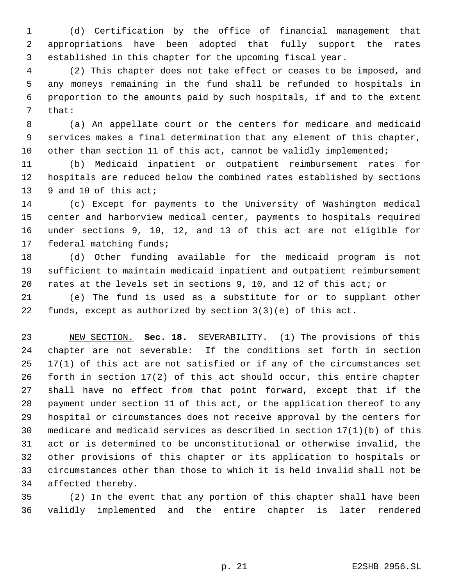(d) Certification by the office of financial management that appropriations have been adopted that fully support the rates established in this chapter for the upcoming fiscal year.

 (2) This chapter does not take effect or ceases to be imposed, and any moneys remaining in the fund shall be refunded to hospitals in proportion to the amounts paid by such hospitals, if and to the extent that:

 (a) An appellate court or the centers for medicare and medicaid services makes a final determination that any element of this chapter, 10 other than section 11 of this act, cannot be validly implemented;

 (b) Medicaid inpatient or outpatient reimbursement rates for hospitals are reduced below the combined rates established by sections 9 and 10 of this act;

 (c) Except for payments to the University of Washington medical center and harborview medical center, payments to hospitals required under sections 9, 10, 12, and 13 of this act are not eligible for federal matching funds;

 (d) Other funding available for the medicaid program is not sufficient to maintain medicaid inpatient and outpatient reimbursement rates at the levels set in sections 9, 10, and 12 of this act; or

 (e) The fund is used as a substitute for or to supplant other funds, except as authorized by section 3(3)(e) of this act.

 NEW SECTION. **Sec. 18.** SEVERABILITY. (1) The provisions of this chapter are not severable: If the conditions set forth in section 17(1) of this act are not satisfied or if any of the circumstances set forth in section 17(2) of this act should occur, this entire chapter shall have no effect from that point forward, except that if the payment under section 11 of this act, or the application thereof to any hospital or circumstances does not receive approval by the centers for medicare and medicaid services as described in section 17(1)(b) of this act or is determined to be unconstitutional or otherwise invalid, the other provisions of this chapter or its application to hospitals or circumstances other than those to which it is held invalid shall not be affected thereby.

 (2) In the event that any portion of this chapter shall have been validly implemented and the entire chapter is later rendered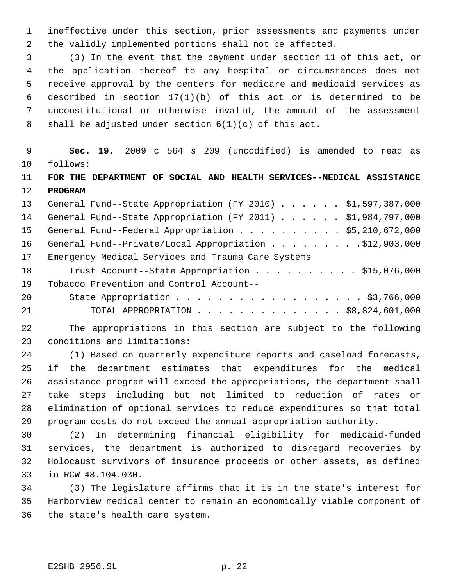ineffective under this section, prior assessments and payments under the validly implemented portions shall not be affected.

 (3) In the event that the payment under section 11 of this act, or the application thereof to any hospital or circumstances does not receive approval by the centers for medicare and medicaid services as described in section 17(1)(b) of this act or is determined to be unconstitutional or otherwise invalid, the amount of the assessment shall be adjusted under section 6(1)(c) of this act.

 **Sec. 19.** 2009 c 564 s 209 (uncodified) is amended to read as follows: **FOR THE DEPARTMENT OF SOCIAL AND HEALTH SERVICES--MEDICAL ASSISTANCE PROGRAM** General Fund--State Appropriation (FY 2010) . . . . . . \$1,597,387,000 General Fund--State Appropriation (FY 2011) . . . . . . \$1,984,797,000 General Fund--Federal Appropriation . . . . . . . . . . \$5,210,672,000 16 General Fund--Private/Local Appropriation . . . . . . . . \$12,903,000 Emergency Medical Services and Trauma Care Systems 18 Trust Account--State Appropriation . . . . . . . . . \$15,076,000 Tobacco Prevention and Control Account-- 20 State Appropriation . . . . . . . . . . . . . . . . . \$3,766,000 TOTAL APPROPRIATION . . . . . . . . . . . . . . \$8,824,601,000

 The appropriations in this section are subject to the following conditions and limitations:

 (1) Based on quarterly expenditure reports and caseload forecasts, if the department estimates that expenditures for the medical assistance program will exceed the appropriations, the department shall take steps including but not limited to reduction of rates or elimination of optional services to reduce expenditures so that total program costs do not exceed the annual appropriation authority.

 (2) In determining financial eligibility for medicaid-funded services, the department is authorized to disregard recoveries by Holocaust survivors of insurance proceeds or other assets, as defined in RCW 48.104.030.

 (3) The legislature affirms that it is in the state's interest for Harborview medical center to remain an economically viable component of the state's health care system.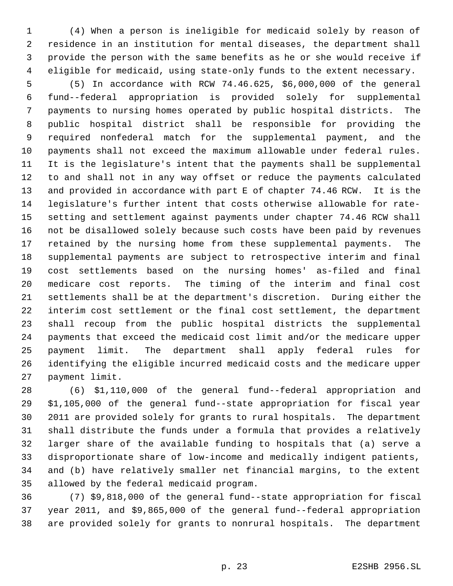(4) When a person is ineligible for medicaid solely by reason of residence in an institution for mental diseases, the department shall provide the person with the same benefits as he or she would receive if eligible for medicaid, using state-only funds to the extent necessary.

 (5) In accordance with RCW 74.46.625, \$6,000,000 of the general fund--federal appropriation is provided solely for supplemental payments to nursing homes operated by public hospital districts. The public hospital district shall be responsible for providing the required nonfederal match for the supplemental payment, and the payments shall not exceed the maximum allowable under federal rules. It is the legislature's intent that the payments shall be supplemental to and shall not in any way offset or reduce the payments calculated and provided in accordance with part E of chapter 74.46 RCW. It is the legislature's further intent that costs otherwise allowable for rate- setting and settlement against payments under chapter 74.46 RCW shall not be disallowed solely because such costs have been paid by revenues retained by the nursing home from these supplemental payments. The supplemental payments are subject to retrospective interim and final cost settlements based on the nursing homes' as-filed and final medicare cost reports. The timing of the interim and final cost settlements shall be at the department's discretion. During either the interim cost settlement or the final cost settlement, the department shall recoup from the public hospital districts the supplemental payments that exceed the medicaid cost limit and/or the medicare upper payment limit. The department shall apply federal rules for identifying the eligible incurred medicaid costs and the medicare upper payment limit.

 (6) \$1,110,000 of the general fund--federal appropriation and \$1,105,000 of the general fund--state appropriation for fiscal year 2011 are provided solely for grants to rural hospitals. The department shall distribute the funds under a formula that provides a relatively larger share of the available funding to hospitals that (a) serve a disproportionate share of low-income and medically indigent patients, and (b) have relatively smaller net financial margins, to the extent allowed by the federal medicaid program.

 (7) \$9,818,000 of the general fund--state appropriation for fiscal year 2011, and \$9,865,000 of the general fund--federal appropriation are provided solely for grants to nonrural hospitals. The department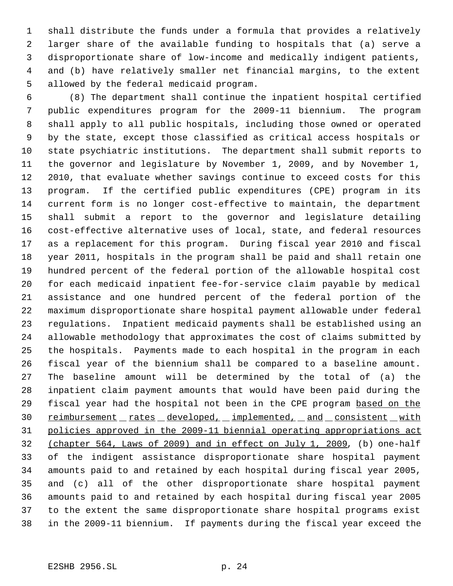shall distribute the funds under a formula that provides a relatively larger share of the available funding to hospitals that (a) serve a disproportionate share of low-income and medically indigent patients, and (b) have relatively smaller net financial margins, to the extent allowed by the federal medicaid program.

 (8) The department shall continue the inpatient hospital certified public expenditures program for the 2009-11 biennium. The program shall apply to all public hospitals, including those owned or operated by the state, except those classified as critical access hospitals or state psychiatric institutions. The department shall submit reports to the governor and legislature by November 1, 2009, and by November 1, 2010, that evaluate whether savings continue to exceed costs for this program. If the certified public expenditures (CPE) program in its current form is no longer cost-effective to maintain, the department shall submit a report to the governor and legislature detailing cost-effective alternative uses of local, state, and federal resources as a replacement for this program. During fiscal year 2010 and fiscal year 2011, hospitals in the program shall be paid and shall retain one hundred percent of the federal portion of the allowable hospital cost for each medicaid inpatient fee-for-service claim payable by medical assistance and one hundred percent of the federal portion of the maximum disproportionate share hospital payment allowable under federal regulations. Inpatient medicaid payments shall be established using an allowable methodology that approximates the cost of claims submitted by the hospitals. Payments made to each hospital in the program in each fiscal year of the biennium shall be compared to a baseline amount. The baseline amount will be determined by the total of (a) the inpatient claim payment amounts that would have been paid during the 29 fiscal year had the hospital not been in the CPE program based on the 30 reimbursement rates developed, implemented, and consistent with policies approved in the 2009-11 biennial operating appropriations act (chapter 564, Laws of 2009) and in effect on July 1, 2009, (b) one-half of the indigent assistance disproportionate share hospital payment amounts paid to and retained by each hospital during fiscal year 2005, and (c) all of the other disproportionate share hospital payment amounts paid to and retained by each hospital during fiscal year 2005 to the extent the same disproportionate share hospital programs exist in the 2009-11 biennium. If payments during the fiscal year exceed the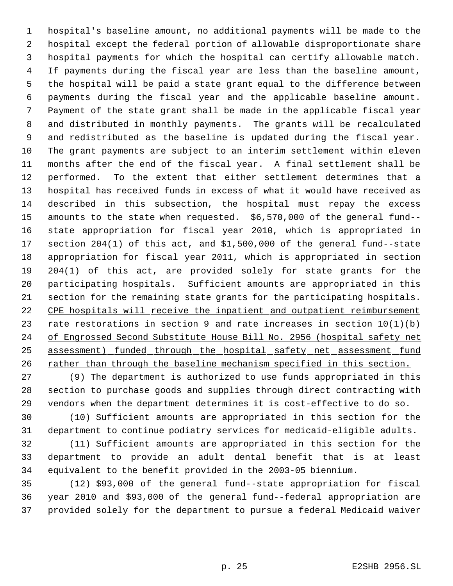hospital's baseline amount, no additional payments will be made to the hospital except the federal portion of allowable disproportionate share hospital payments for which the hospital can certify allowable match. If payments during the fiscal year are less than the baseline amount, the hospital will be paid a state grant equal to the difference between payments during the fiscal year and the applicable baseline amount. Payment of the state grant shall be made in the applicable fiscal year and distributed in monthly payments. The grants will be recalculated and redistributed as the baseline is updated during the fiscal year. The grant payments are subject to an interim settlement within eleven months after the end of the fiscal year. A final settlement shall be performed. To the extent that either settlement determines that a hospital has received funds in excess of what it would have received as described in this subsection, the hospital must repay the excess amounts to the state when requested. \$6,570,000 of the general fund-- state appropriation for fiscal year 2010, which is appropriated in section 204(1) of this act, and \$1,500,000 of the general fund--state appropriation for fiscal year 2011, which is appropriated in section 204(1) of this act, are provided solely for state grants for the participating hospitals. Sufficient amounts are appropriated in this section for the remaining state grants for the participating hospitals. CPE hospitals will receive the inpatient and outpatient reimbursement 23 rate restorations in section 9 and rate increases in section  $10(1)(b)$  of Engrossed Second Substitute House Bill No. 2956 (hospital safety net 25 assessment) funded through the hospital safety net assessment fund 26 rather than through the baseline mechanism specified in this section.

 (9) The department is authorized to use funds appropriated in this section to purchase goods and supplies through direct contracting with vendors when the department determines it is cost-effective to do so.

 (10) Sufficient amounts are appropriated in this section for the department to continue podiatry services for medicaid-eligible adults.

 (11) Sufficient amounts are appropriated in this section for the department to provide an adult dental benefit that is at least equivalent to the benefit provided in the 2003-05 biennium.

 (12) \$93,000 of the general fund--state appropriation for fiscal year 2010 and \$93,000 of the general fund--federal appropriation are provided solely for the department to pursue a federal Medicaid waiver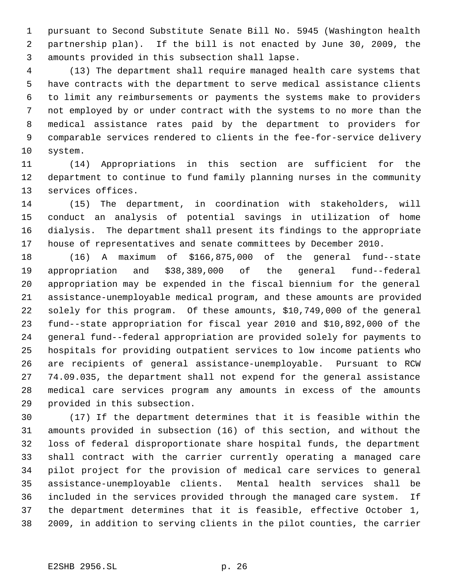pursuant to Second Substitute Senate Bill No. 5945 (Washington health partnership plan). If the bill is not enacted by June 30, 2009, the amounts provided in this subsection shall lapse.

 (13) The department shall require managed health care systems that have contracts with the department to serve medical assistance clients to limit any reimbursements or payments the systems make to providers not employed by or under contract with the systems to no more than the medical assistance rates paid by the department to providers for comparable services rendered to clients in the fee-for-service delivery system.

 (14) Appropriations in this section are sufficient for the department to continue to fund family planning nurses in the community services offices.

 (15) The department, in coordination with stakeholders, will conduct an analysis of potential savings in utilization of home dialysis. The department shall present its findings to the appropriate house of representatives and senate committees by December 2010.

 (16) A maximum of \$166,875,000 of the general fund--state appropriation and \$38,389,000 of the general fund--federal appropriation may be expended in the fiscal biennium for the general assistance-unemployable medical program, and these amounts are provided solely for this program. Of these amounts, \$10,749,000 of the general fund--state appropriation for fiscal year 2010 and \$10,892,000 of the general fund--federal appropriation are provided solely for payments to hospitals for providing outpatient services to low income patients who are recipients of general assistance-unemployable. Pursuant to RCW 74.09.035, the department shall not expend for the general assistance medical care services program any amounts in excess of the amounts provided in this subsection.

 (17) If the department determines that it is feasible within the amounts provided in subsection (16) of this section, and without the loss of federal disproportionate share hospital funds, the department shall contract with the carrier currently operating a managed care pilot project for the provision of medical care services to general assistance-unemployable clients. Mental health services shall be included in the services provided through the managed care system. If the department determines that it is feasible, effective October 1, 2009, in addition to serving clients in the pilot counties, the carrier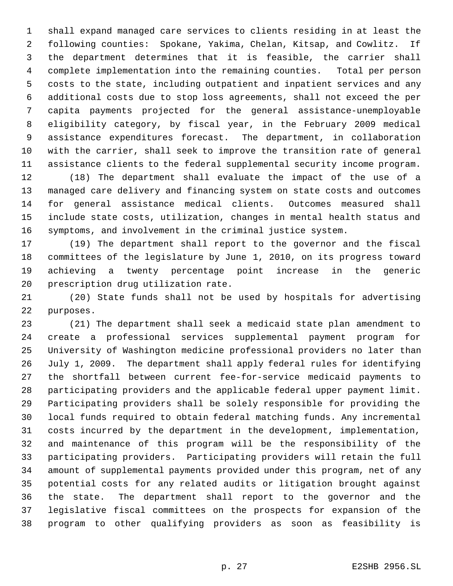shall expand managed care services to clients residing in at least the following counties: Spokane, Yakima, Chelan, Kitsap, and Cowlitz. If the department determines that it is feasible, the carrier shall complete implementation into the remaining counties. Total per person costs to the state, including outpatient and inpatient services and any additional costs due to stop loss agreements, shall not exceed the per capita payments projected for the general assistance-unemployable eligibility category, by fiscal year, in the February 2009 medical assistance expenditures forecast. The department, in collaboration with the carrier, shall seek to improve the transition rate of general assistance clients to the federal supplemental security income program.

 (18) The department shall evaluate the impact of the use of a managed care delivery and financing system on state costs and outcomes for general assistance medical clients. Outcomes measured shall include state costs, utilization, changes in mental health status and symptoms, and involvement in the criminal justice system.

 (19) The department shall report to the governor and the fiscal committees of the legislature by June 1, 2010, on its progress toward achieving a twenty percentage point increase in the generic prescription drug utilization rate.

 (20) State funds shall not be used by hospitals for advertising purposes.

 (21) The department shall seek a medicaid state plan amendment to create a professional services supplemental payment program for University of Washington medicine professional providers no later than July 1, 2009. The department shall apply federal rules for identifying the shortfall between current fee-for-service medicaid payments to participating providers and the applicable federal upper payment limit. Participating providers shall be solely responsible for providing the local funds required to obtain federal matching funds. Any incremental costs incurred by the department in the development, implementation, and maintenance of this program will be the responsibility of the participating providers. Participating providers will retain the full amount of supplemental payments provided under this program, net of any potential costs for any related audits or litigation brought against the state. The department shall report to the governor and the legislative fiscal committees on the prospects for expansion of the program to other qualifying providers as soon as feasibility is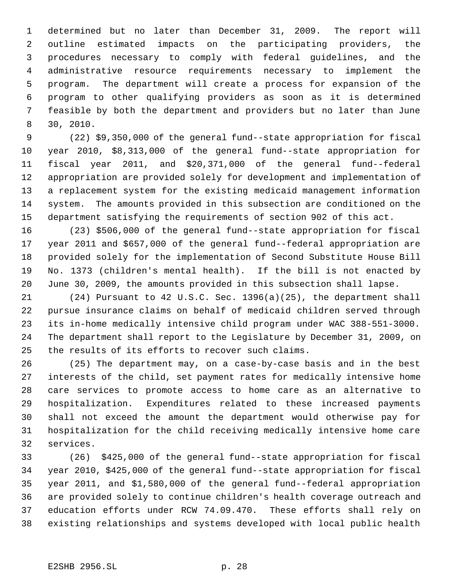determined but no later than December 31, 2009. The report will outline estimated impacts on the participating providers, the procedures necessary to comply with federal guidelines, and the administrative resource requirements necessary to implement the program. The department will create a process for expansion of the program to other qualifying providers as soon as it is determined feasible by both the department and providers but no later than June 30, 2010.

 (22) \$9,350,000 of the general fund--state appropriation for fiscal year 2010, \$8,313,000 of the general fund--state appropriation for fiscal year 2011, and \$20,371,000 of the general fund--federal appropriation are provided solely for development and implementation of a replacement system for the existing medicaid management information system. The amounts provided in this subsection are conditioned on the department satisfying the requirements of section 902 of this act.

 (23) \$506,000 of the general fund--state appropriation for fiscal year 2011 and \$657,000 of the general fund--federal appropriation are provided solely for the implementation of Second Substitute House Bill No. 1373 (children's mental health). If the bill is not enacted by June 30, 2009, the amounts provided in this subsection shall lapse.

 (24) Pursuant to 42 U.S.C. Sec. 1396(a)(25), the department shall pursue insurance claims on behalf of medicaid children served through its in-home medically intensive child program under WAC 388-551-3000. The department shall report to the Legislature by December 31, 2009, on the results of its efforts to recover such claims.

 (25) The department may, on a case-by-case basis and in the best interests of the child, set payment rates for medically intensive home care services to promote access to home care as an alternative to hospitalization. Expenditures related to these increased payments shall not exceed the amount the department would otherwise pay for hospitalization for the child receiving medically intensive home care services.

 (26) \$425,000 of the general fund--state appropriation for fiscal year 2010, \$425,000 of the general fund--state appropriation for fiscal year 2011, and \$1,580,000 of the general fund--federal appropriation are provided solely to continue children's health coverage outreach and education efforts under RCW 74.09.470. These efforts shall rely on existing relationships and systems developed with local public health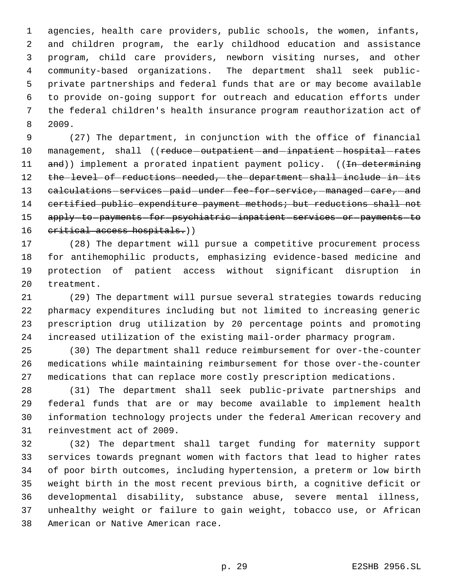agencies, health care providers, public schools, the women, infants, and children program, the early childhood education and assistance program, child care providers, newborn visiting nurses, and other community-based organizations. The department shall seek public- private partnerships and federal funds that are or may become available to provide on-going support for outreach and education efforts under the federal children's health insurance program reauthorization act of 2009.

 (27) The department, in conjunction with the office of financial 10 management, shall ((reduce-outpatient-and-inpatient-hospital-rates 11 and)) implement a prorated inpatient payment policy. ((In determining 12 the level of reductions needed, the department shall include in its 13 calculations - services - paid - under -fee-for-service, - managed - care, - and 14 certified public expenditure payment methods; but reductions shall not 15 apply-to-payments-for-psychiatric-inpatient-services-or-payments-to 16 critical access hospitals.))

 (28) The department will pursue a competitive procurement process for antihemophilic products, emphasizing evidence-based medicine and protection of patient access without significant disruption in treatment.

 (29) The department will pursue several strategies towards reducing pharmacy expenditures including but not limited to increasing generic prescription drug utilization by 20 percentage points and promoting increased utilization of the existing mail-order pharmacy program.

 (30) The department shall reduce reimbursement for over-the-counter medications while maintaining reimbursement for those over-the-counter medications that can replace more costly prescription medications.

 (31) The department shall seek public-private partnerships and federal funds that are or may become available to implement health information technology projects under the federal American recovery and reinvestment act of 2009.

 (32) The department shall target funding for maternity support services towards pregnant women with factors that lead to higher rates of poor birth outcomes, including hypertension, a preterm or low birth weight birth in the most recent previous birth, a cognitive deficit or developmental disability, substance abuse, severe mental illness, unhealthy weight or failure to gain weight, tobacco use, or African American or Native American race.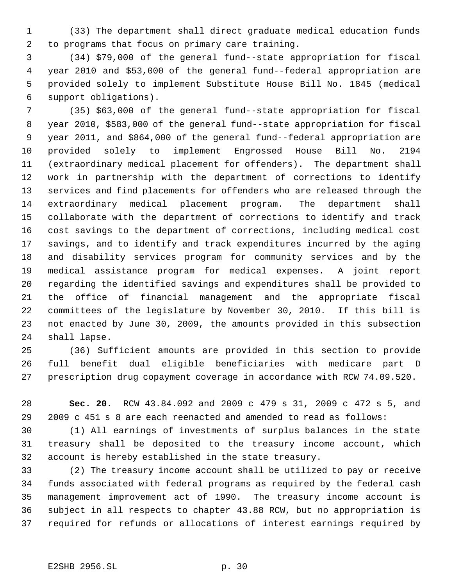(33) The department shall direct graduate medical education funds to programs that focus on primary care training.

 (34) \$79,000 of the general fund--state appropriation for fiscal year 2010 and \$53,000 of the general fund--federal appropriation are provided solely to implement Substitute House Bill No. 1845 (medical support obligations).

 (35) \$63,000 of the general fund--state appropriation for fiscal year 2010, \$583,000 of the general fund--state appropriation for fiscal year 2011, and \$864,000 of the general fund--federal appropriation are provided solely to implement Engrossed House Bill No. 2194 (extraordinary medical placement for offenders). The department shall work in partnership with the department of corrections to identify services and find placements for offenders who are released through the extraordinary medical placement program. The department shall collaborate with the department of corrections to identify and track cost savings to the department of corrections, including medical cost savings, and to identify and track expenditures incurred by the aging and disability services program for community services and by the medical assistance program for medical expenses. A joint report regarding the identified savings and expenditures shall be provided to the office of financial management and the appropriate fiscal committees of the legislature by November 30, 2010. If this bill is not enacted by June 30, 2009, the amounts provided in this subsection shall lapse.

 (36) Sufficient amounts are provided in this section to provide full benefit dual eligible beneficiaries with medicare part D prescription drug copayment coverage in accordance with RCW 74.09.520.

 **Sec. 20.** RCW 43.84.092 and 2009 c 479 s 31, 2009 c 472 s 5, and 2009 c 451 s 8 are each reenacted and amended to read as follows:

 (1) All earnings of investments of surplus balances in the state treasury shall be deposited to the treasury income account, which account is hereby established in the state treasury.

 (2) The treasury income account shall be utilized to pay or receive funds associated with federal programs as required by the federal cash management improvement act of 1990. The treasury income account is subject in all respects to chapter 43.88 RCW, but no appropriation is required for refunds or allocations of interest earnings required by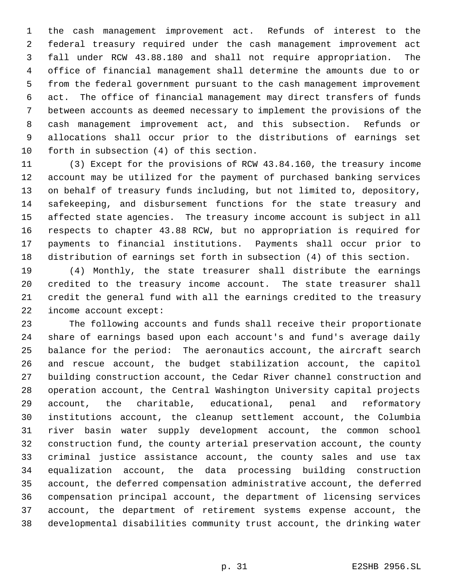the cash management improvement act. Refunds of interest to the federal treasury required under the cash management improvement act fall under RCW 43.88.180 and shall not require appropriation. The office of financial management shall determine the amounts due to or from the federal government pursuant to the cash management improvement act. The office of financial management may direct transfers of funds between accounts as deemed necessary to implement the provisions of the cash management improvement act, and this subsection. Refunds or allocations shall occur prior to the distributions of earnings set forth in subsection (4) of this section.

 (3) Except for the provisions of RCW 43.84.160, the treasury income account may be utilized for the payment of purchased banking services on behalf of treasury funds including, but not limited to, depository, safekeeping, and disbursement functions for the state treasury and affected state agencies. The treasury income account is subject in all respects to chapter 43.88 RCW, but no appropriation is required for payments to financial institutions. Payments shall occur prior to distribution of earnings set forth in subsection (4) of this section.

 (4) Monthly, the state treasurer shall distribute the earnings credited to the treasury income account. The state treasurer shall credit the general fund with all the earnings credited to the treasury income account except:

 The following accounts and funds shall receive their proportionate share of earnings based upon each account's and fund's average daily balance for the period: The aeronautics account, the aircraft search and rescue account, the budget stabilization account, the capitol building construction account, the Cedar River channel construction and operation account, the Central Washington University capital projects account, the charitable, educational, penal and reformatory institutions account, the cleanup settlement account, the Columbia river basin water supply development account, the common school construction fund, the county arterial preservation account, the county criminal justice assistance account, the county sales and use tax equalization account, the data processing building construction account, the deferred compensation administrative account, the deferred compensation principal account, the department of licensing services account, the department of retirement systems expense account, the developmental disabilities community trust account, the drinking water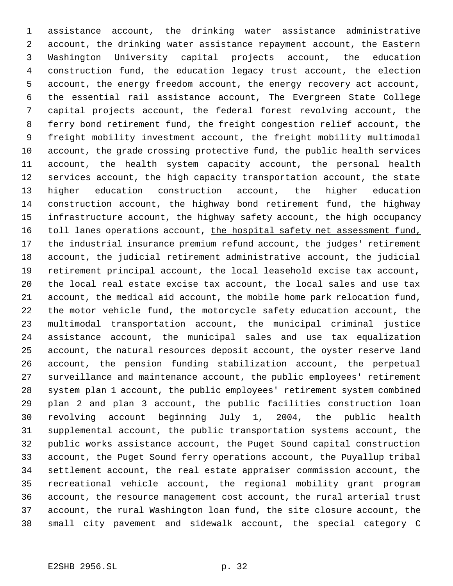assistance account, the drinking water assistance administrative account, the drinking water assistance repayment account, the Eastern Washington University capital projects account, the education construction fund, the education legacy trust account, the election account, the energy freedom account, the energy recovery act account, the essential rail assistance account, The Evergreen State College capital projects account, the federal forest revolving account, the ferry bond retirement fund, the freight congestion relief account, the freight mobility investment account, the freight mobility multimodal account, the grade crossing protective fund, the public health services account, the health system capacity account, the personal health services account, the high capacity transportation account, the state higher education construction account, the higher education construction account, the highway bond retirement fund, the highway infrastructure account, the highway safety account, the high occupancy 16 toll lanes operations account, the hospital safety net assessment fund, the industrial insurance premium refund account, the judges' retirement account, the judicial retirement administrative account, the judicial retirement principal account, the local leasehold excise tax account, the local real estate excise tax account, the local sales and use tax account, the medical aid account, the mobile home park relocation fund, the motor vehicle fund, the motorcycle safety education account, the multimodal transportation account, the municipal criminal justice assistance account, the municipal sales and use tax equalization account, the natural resources deposit account, the oyster reserve land account, the pension funding stabilization account, the perpetual surveillance and maintenance account, the public employees' retirement system plan 1 account, the public employees' retirement system combined plan 2 and plan 3 account, the public facilities construction loan revolving account beginning July 1, 2004, the public health supplemental account, the public transportation systems account, the public works assistance account, the Puget Sound capital construction account, the Puget Sound ferry operations account, the Puyallup tribal settlement account, the real estate appraiser commission account, the recreational vehicle account, the regional mobility grant program account, the resource management cost account, the rural arterial trust account, the rural Washington loan fund, the site closure account, the small city pavement and sidewalk account, the special category C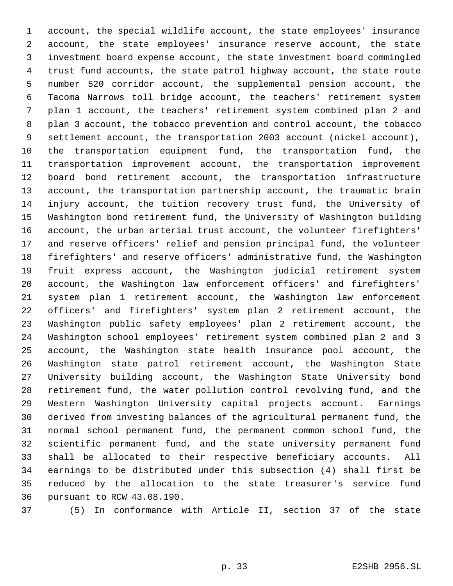account, the special wildlife account, the state employees' insurance account, the state employees' insurance reserve account, the state investment board expense account, the state investment board commingled trust fund accounts, the state patrol highway account, the state route number 520 corridor account, the supplemental pension account, the Tacoma Narrows toll bridge account, the teachers' retirement system plan 1 account, the teachers' retirement system combined plan 2 and plan 3 account, the tobacco prevention and control account, the tobacco settlement account, the transportation 2003 account (nickel account), the transportation equipment fund, the transportation fund, the transportation improvement account, the transportation improvement board bond retirement account, the transportation infrastructure account, the transportation partnership account, the traumatic brain injury account, the tuition recovery trust fund, the University of Washington bond retirement fund, the University of Washington building account, the urban arterial trust account, the volunteer firefighters' and reserve officers' relief and pension principal fund, the volunteer firefighters' and reserve officers' administrative fund, the Washington fruit express account, the Washington judicial retirement system account, the Washington law enforcement officers' and firefighters' system plan 1 retirement account, the Washington law enforcement officers' and firefighters' system plan 2 retirement account, the Washington public safety employees' plan 2 retirement account, the Washington school employees' retirement system combined plan 2 and 3 account, the Washington state health insurance pool account, the Washington state patrol retirement account, the Washington State University building account, the Washington State University bond retirement fund, the water pollution control revolving fund, and the Western Washington University capital projects account. Earnings derived from investing balances of the agricultural permanent fund, the normal school permanent fund, the permanent common school fund, the scientific permanent fund, and the state university permanent fund shall be allocated to their respective beneficiary accounts. All earnings to be distributed under this subsection (4) shall first be reduced by the allocation to the state treasurer's service fund pursuant to RCW 43.08.190.

(5) In conformance with Article II, section 37 of the state